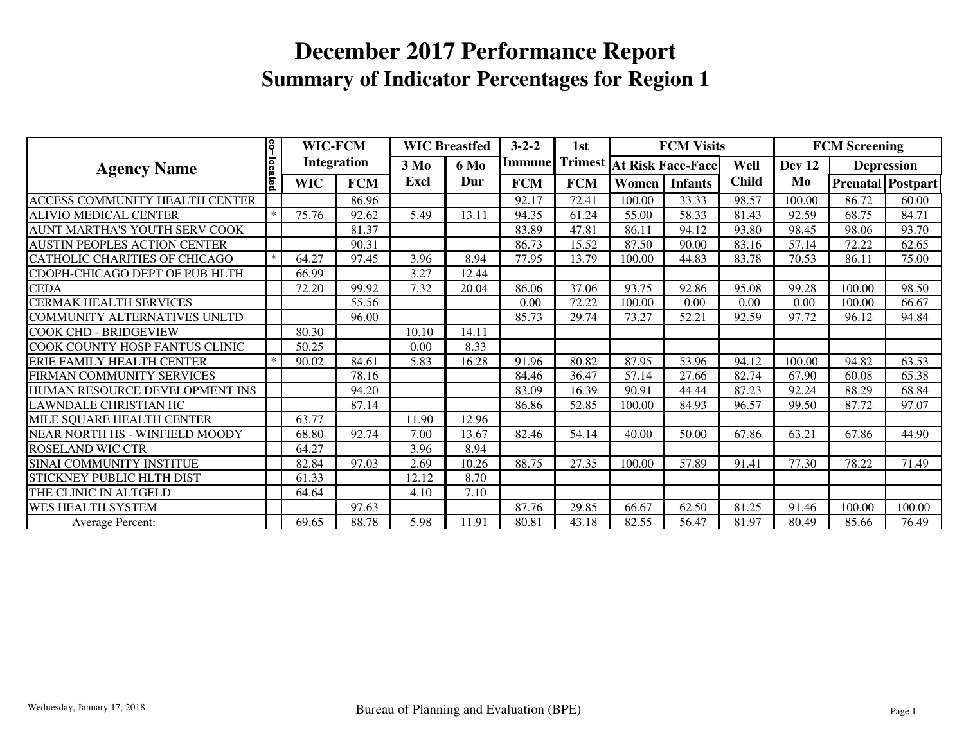|                                      | 8       | <b>WIC-FCM</b>     |            | <b>WIC Breastfed</b>            |       | $3 - 2 - 2$   | 1st            |                          | <b>FCM Visits</b> |              | <b>FCM Screening</b> |                   |                   |  |
|--------------------------------------|---------|--------------------|------------|---------------------------------|-------|---------------|----------------|--------------------------|-------------------|--------------|----------------------|-------------------|-------------------|--|
| <b>Agency Name</b>                   |         | <b>Integration</b> |            | 3 M <sub>0</sub><br><b>6 Mo</b> |       | <b>Immune</b> | <b>Trimest</b> | <b>At Risk Face-Face</b> |                   | Well         | Dev 12               | <b>Depression</b> |                   |  |
|                                      | located | <b>WIC</b>         | <b>FCM</b> | Excl                            | Dur   | <b>FCM</b>    | <b>FCM</b>     | Women                    | <b>Infants</b>    | <b>Child</b> | Mo                   |                   | Prenatal Postpart |  |
| ACCESS COMMUNITY HEALTH CENTER       |         |                    | 86.96      |                                 |       | 92.17         | 72.41          | 100.00                   | 33.33             | 98.57        | 100.00               | 86.72             | 60.00             |  |
| <b>ALIVIO MEDICAL CENTER</b>         | $\ast$  | 75.76              | 92.62      | 5.49                            | 13.11 | 94.35         | 61.24          | 55.00                    | 58.33             | 81.43        | 92.59                | 68.75             | 84.71             |  |
| AUNT MARTHA'S YOUTH SERV COOK        |         |                    | 81.37      |                                 |       | 83.89         | 47.81          | 86.11                    | 94.12             | 93.80        | 98.45                | 98.06             | 93.70             |  |
| <b>AUSTIN PEOPLES ACTION CENTER</b>  |         |                    | 90.31      |                                 |       | 86.73         | 15.52          | 87.50                    | 90.00             | 83.16        | 57.14                | 72.22             | 62.65             |  |
| <b>CATHOLIC CHARITIES OF CHICAGO</b> | $*$     | 64.27              | 97.45      | 3.96                            | 8.94  | 77.95         | 13.79          | 100.00                   | 44.83             | 83.78        | 70.53                | 86.11             | 75.00             |  |
| CDOPH-CHICAGO DEPT OF PUB HLTH       |         | 66.99              |            | 3.27                            | 12.44 |               |                |                          |                   |              |                      |                   |                   |  |
| <b>CEDA</b>                          |         | 72.20              | 99.92      | 7.32                            | 20.04 | 86.06         | 37.06          | 93.75                    | 92.86             | 95.08        | 99.28                | 100.00            | 98.50             |  |
| <b>CERMAK HEALTH SERVICES</b>        |         |                    | 55.56      |                                 |       | 0.00          | 72.22          | 100.00                   | 0.00              | 0.00         | 0.00                 | 100.00            | 66.67             |  |
| COMMUNITY ALTERNATIVES UNLTD         |         |                    | 96.00      |                                 |       | 85.73         | 29.74          | 73.27                    | 52.21             | 92.59        | 97.72                | 96.12             | 94.84             |  |
| <b>COOK CHD - BRIDGEVIEW</b>         |         | 80.30              |            | 10.10                           | 14.11 |               |                |                          |                   |              |                      |                   |                   |  |
| COOK COUNTY HOSP FANTUS CLINIC       |         | 50.25              |            | 0.00                            | 8.33  |               |                |                          |                   |              |                      |                   |                   |  |
| ERIE FAMILY HEALTH CENTER            | $\ast$  | 90.02              | 84.61      | 5.83                            | 16.28 | 91.96         | 80.82          | 87.95                    | 53.96             | 94.12        | 100.00               | 94.82             | 63.53             |  |
| FIRMAN COMMUNITY SERVICES            |         |                    | 78.16      |                                 |       | 84.46         | 36.47          | 57.14                    | 27.66             | 82.74        | 67.90                | 60.08             | 65.38             |  |
| HUMAN RESOURCE DEVELOPMENT INS       |         |                    | 94.20      |                                 |       | 83.09         | 16.39          | 90.91                    | 44.44             | 87.23        | 92.24                | 88.29             | 68.84             |  |
| <b>LAWNDALE CHRISTIAN HC</b>         |         |                    | 87.14      |                                 |       | 86.86         | 52.85          | 100.00                   | 84.93             | 96.57        | 99.50                | 87.72             | 97.07             |  |
| MILE SQUARE HEALTH CENTER            |         | 63.77              |            | 11.90                           | 12.96 |               |                |                          |                   |              |                      |                   |                   |  |
| NEAR NORTH HS - WINFIELD MOODY       |         | 68.80              | 92.74      | 7.00                            | 13.67 | 82.46         | 54.14          | 40.00                    | 50.00             | 67.86        | 63.21                | 67.86             | 44.90             |  |
| <b>ROSELAND WIC CTR</b>              |         | 64.27              |            | 3.96                            | 8.94  |               |                |                          |                   |              |                      |                   |                   |  |
| SINAI COMMUNITY INSTITUE             |         | 82.84              | 97.03      | 2.69                            | 10.26 | 88.75         | 27.35          | 100.00                   | 57.89             | 91.41        | 77.30                | 78.22             | 71.49             |  |
| STICKNEY PUBLIC HLTH DIST            |         | 61.33              |            | 12.12                           | 8.70  |               |                |                          |                   |              |                      |                   |                   |  |
| THE CLINIC IN ALTGELD                |         | 64.64              |            | 4.10                            | 7.10  |               |                |                          |                   |              |                      |                   |                   |  |
| <b>WES HEALTH SYSTEM</b>             |         |                    | 97.63      |                                 |       | 87.76         | 29.85          | 66.67                    | 62.50             | 81.25        | 91.46                | 100.00            | 100.00            |  |
| Average Percent:                     |         | 69.65              | 88.78      | 5.98                            | 11.91 | 80.81         | 43.18          | 82.55                    | 56.47             | 81.97        | 80.49                | 85.66             | 76.49             |  |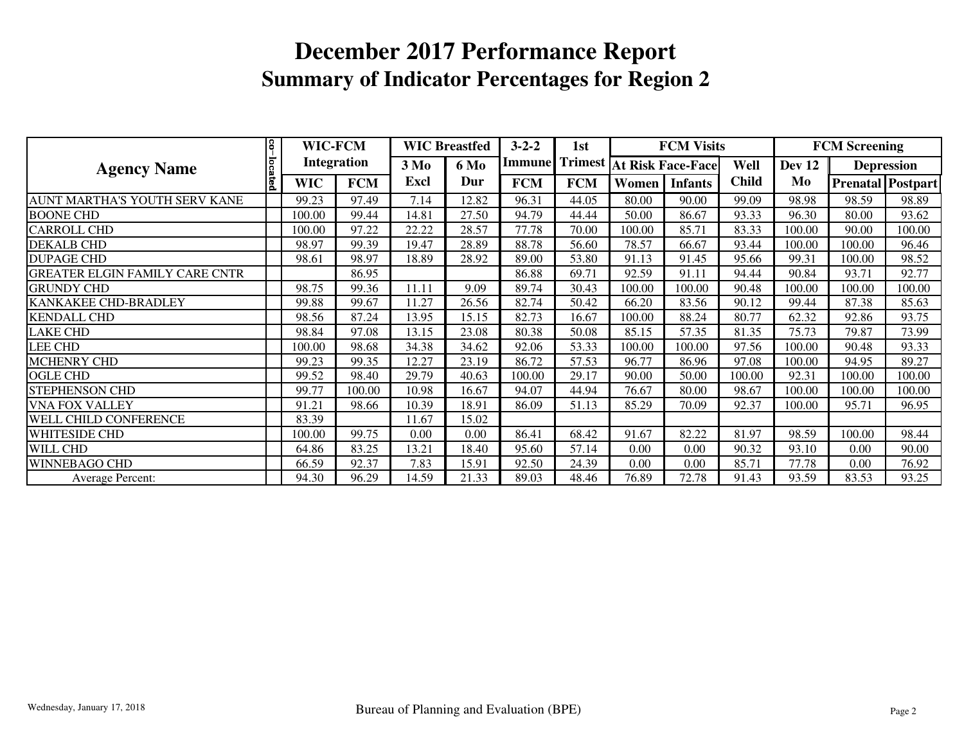|                                       | S.      | WIC-FCM            |            | <b>WIC Breastfed</b>     |       | $3 - 2 - 2$ | 1st        |                                  | <b>FCM Visits</b> |              | <b>FCM Screening</b> |        |                          |
|---------------------------------------|---------|--------------------|------------|--------------------------|-------|-------------|------------|----------------------------------|-------------------|--------------|----------------------|--------|--------------------------|
| <b>Agency Name</b>                    |         | <b>Integration</b> |            | 3 M <sub>0</sub><br>6 Mo |       | Immune      |            | <b>Trimest At Risk Face-Face</b> |                   | Well         | <b>Dev 12</b>        |        | <b>Depression</b>        |
|                                       | located | <b>WIC</b>         | <b>FCM</b> | Excl                     | Dur   | <b>FCM</b>  | <b>FCM</b> | Women                            | <b>Infants</b>    | <b>Child</b> | Mo                   |        | <b>Prenatal Postpart</b> |
| AUNT MARTHA'S YOUTH SERV KANE         |         | 99.23              | 97.49      | 7.14                     | 12.82 | 96.31       | 44.05      | 80.00                            | 90.00             | 99.09        | 98.98                | 98.59  | 98.89                    |
| <b>BOONE CHD</b>                      |         | 100.00             | 99.44      | 14.81                    | 27.50 | 94.79       | 44.44      | 50.00                            | 86.67             | 93.33        | 96.30                | 80.00  | 93.62                    |
| <b>CARROLL CHD</b>                    |         | 100.00             | 97.22      | 22.22                    | 28.57 | 77.78       | 70.00      | 100.00                           | 85.71             | 83.33        | 100.00               | 90.00  | 100.00                   |
| <b>DEKALB CHD</b>                     |         | 98.97              | 99.39      | 19.47                    | 28.89 | 88.78       | 56.60      | 78.57                            | 66.67             | 93.44        | 100.00               | 100.00 | 96.46                    |
| <b>DUPAGE CHD</b>                     |         | 98.61              | 98.97      | 18.89                    | 28.92 | 89.00       | 53.80      | 91.13                            | 91.45             | 95.66        | 99.31                | 100.00 | 98.52                    |
| <b>GREATER ELGIN FAMILY CARE CNTR</b> |         |                    | 86.95      |                          |       | 86.88       | 69.71      | 92.59                            | 91.11             | 94.44        | 90.84                | 93.71  | 92.77                    |
| <b>GRUNDY CHD</b>                     |         | 98.75              | 99.36      | 11.11                    | 9.09  | 89.74       | 30.43      | 100.00                           | 100.00            | 90.48        | 100.00               | 100.00 | 100.00                   |
| <b>KANKAKEE CHD-BRADLEY</b>           |         | 99.88              | 99.67      | 11.27                    | 26.56 | 82.74       | 50.42      | 66.20                            | 83.56             | 90.12        | 99.44                | 87.38  | 85.63                    |
| <b>KENDALL CHD</b>                    |         | 98.56              | 87.24      | 13.95                    | 15.15 | 82.73       | 16.67      | 100.00                           | 88.24             | 80.77        | 62.32                | 92.86  | 93.75                    |
| <b>LAKE CHD</b>                       |         | 98.84              | 97.08      | 13.15                    | 23.08 | 80.38       | 50.08      | 85.15                            | 57.35             | 81.35        | 75.73                | 79.87  | 73.99                    |
| LEE CHD                               |         | 100.00             | 98.68      | 34.38                    | 34.62 | 92.06       | 53.33      | 100.00                           | 100.00            | 97.56        | 100.00               | 90.48  | 93.33                    |
| <b>MCHENRY CHD</b>                    |         | 99.23              | 99.35      | 12.27                    | 23.19 | 86.72       | 57.53      | 96.77                            | 86.96             | 97.08        | 100.00               | 94.95  | 89.27                    |
| <b>OGLE CHD</b>                       |         | 99.52              | 98.40      | 29.79                    | 40.63 | 100.00      | 29.17      | 90.00                            | 50.00             | 100.00       | 92.31                | 100.00 | 100.00                   |
| <b>STEPHENSON CHD</b>                 |         | 99.77              | 100.00     | 10.98                    | 16.67 | 94.07       | 44.94      | 76.67                            | 80.00             | 98.67        | 100.00               | 100.00 | 100.00                   |
| <b>VNA FOX VALLEY</b>                 |         | 91.21              | 98.66      | 10.39                    | 18.91 | 86.09       | 51.13      | 85.29                            | 70.09             | 92.37        | 100.00               | 95.71  | 96.95                    |
| WELL CHILD CONFERENCE                 |         | 83.39              |            | 11.67                    | 15.02 |             |            |                                  |                   |              |                      |        |                          |
| <b>WHITESIDE CHD</b>                  |         | 100.00             | 99.75      | 0.00                     | 0.00  | 86.41       | 68.42      | 91.67                            | 82.22             | 81.97        | 98.59                | 100.00 | 98.44                    |
| <b>WILL CHD</b>                       |         | 64.86              | 83.25      | 13.21                    | 18.40 | 95.60       | 57.14      | 0.00                             | 0.00              | 90.32        | 93.10                | 0.00   | 90.00                    |
| <b>WINNEBAGO CHD</b>                  |         | 66.59              | 92.37      | 7.83                     | 15.91 | 92.50       | 24.39      | 0.00                             | 0.00              | 85.71        | 77.78                | 0.00   | 76.92                    |
| <b>Average Percent:</b>               |         | 94.30              | 96.29      | 14.59                    | 21.33 | 89.03       | 48.46      | 76.89                            | 72.78             | 91.43        | 93.59                | 83.53  | 93.25                    |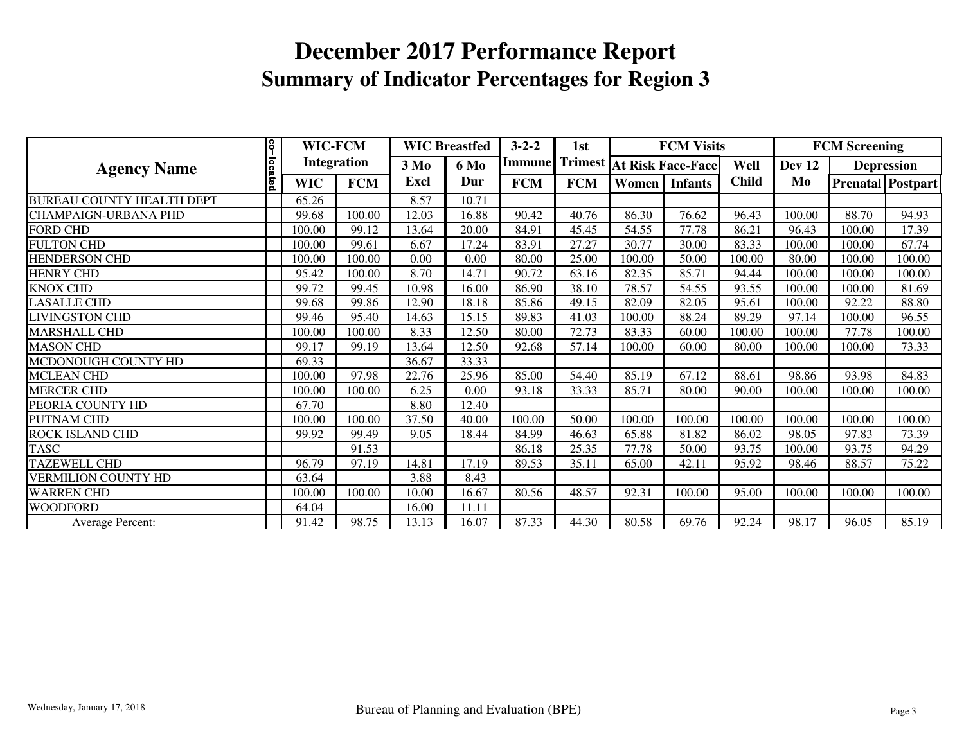|                                  |         | WIC-FCM<br><b>Integration</b> |            | <b>WIC Breastfed</b>            |       | $3 - 2 - 2$ | 1st        |                                  | <b>FCM Visits</b> |              | <b>FCM Screening</b> |                   |                          |
|----------------------------------|---------|-------------------------------|------------|---------------------------------|-------|-------------|------------|----------------------------------|-------------------|--------------|----------------------|-------------------|--------------------------|
| <b>Agency Name</b>               |         |                               |            | 3 M <sub>0</sub><br><b>6 Mo</b> |       |             |            | Immune Trimest At Risk Face-Face |                   | Well         | <b>Dev 12</b>        | <b>Depression</b> |                          |
|                                  | located | <b>WIC</b>                    | <b>FCM</b> | Excl<br>Dur                     |       | <b>FCM</b>  | <b>FCM</b> | Women                            | <b>Infants</b>    | <b>Child</b> | Mo                   |                   | <b>Prenatal Postpart</b> |
| <b>BUREAU COUNTY HEALTH DEPT</b> |         | 65.26                         |            | 8.57                            | 10.71 |             |            |                                  |                   |              |                      |                   |                          |
| <b>CHAMPAIGN-URBANA PHD</b>      |         | 99.68                         | 100.00     | 12.03                           | 16.88 | 90.42       | 40.76      | 86.30                            | 76.62             | 96.43        | 100.00               | 88.70             | 94.93                    |
| <b>FORD CHD</b>                  |         | 100.00                        | 99.12      | 13.64                           | 20.00 | 84.91       | 45.45      | 54.55                            | 77.78             | 86.21        | 96.43                | 100.00            | 17.39                    |
| <b>FULTON CHD</b>                |         | 100.00                        | 99.61      | 6.67                            | 17.24 | 83.91       | 27.27      | 30.77                            | 30.00             | 83.33        | 100.00               | 100.00            | 67.74                    |
| <b>HENDERSON CHD</b>             |         | 100.00                        | 100.00     | 0.00                            | 0.00  | 80.00       | 25.00      | 100.00                           | 50.00             | 100.00       | 80.00                | 100.00            | 100.00                   |
| <b>HENRY CHD</b>                 |         | 95.42                         | 100.00     | 8.70                            | 14.71 | 90.72       | 63.16      | 82.35                            | 85.71             | 94.44        | 100.00               | 100.00            | 100.00                   |
| <b>KNOX CHD</b>                  |         | 99.72                         | 99.45      | 10.98                           | 16.00 | 86.90       | 38.10      | 78.57                            | 54.55             | 93.55        | 100.00               | 100.00            | 81.69                    |
| <b>LASALLE CHD</b>               |         | 99.68                         | 99.86      | 12.90                           | 18.18 | 85.86       | 49.15      | 82.09                            | 82.05             | 95.61        | 100.00               | 92.22             | 88.80                    |
| <b>LIVINGSTON CHD</b>            |         | 99.46                         | 95.40      | 14.63                           | 15.15 | 89.83       | 41.03      | 100.00                           | 88.24             | 89.29        | 97.14                | 100.00            | 96.55                    |
| <b>MARSHALL CHD</b>              |         | 100.00                        | 100.00     | 8.33                            | 12.50 | 80.00       | 72.73      | 83.33                            | 60.00             | 100.00       | 100.00               | 77.78             | 100.00                   |
| <b>MASON CHD</b>                 |         | 99.17                         | 99.19      | 13.64                           | 12.50 | 92.68       | 57.14      | 100.00                           | 60.00             | 80.00        | 100.00               | 100.00            | 73.33                    |
| MCDONOUGH COUNTY HD              |         | 69.33                         |            | 36.67                           | 33.33 |             |            |                                  |                   |              |                      |                   |                          |
| <b>MCLEAN CHD</b>                |         | 100.00                        | 97.98      | 22.76                           | 25.96 | 85.00       | 54.40      | 85.19                            | 67.12             | 88.61        | 98.86                | 93.98             | 84.83                    |
| <b>MERCER CHD</b>                |         | 100.00                        | 100.00     | 6.25                            | 0.00  | 93.18       | 33.33      | 85.71                            | 80.00             | 90.00        | 100.00               | 100.00            | 100.00                   |
| PEORIA COUNTY HD                 |         | 67.70                         |            | 8.80                            | 12.40 |             |            |                                  |                   |              |                      |                   |                          |
| PUTNAM CHD                       |         | 100.00                        | 100.00     | 37.50                           | 40.00 | 100.00      | 50.00      | 100.00                           | 100.00            | 100.00       | 100.00               | 100.00            | 100.00                   |
| ROCK ISLAND CHD                  |         | 99.92                         | 99.49      | 9.05                            | 18.44 | 84.99       | 46.63      | 65.88                            | 81.82             | 86.02        | 98.05                | 97.83             | 73.39                    |
| <b>TASC</b>                      |         |                               | 91.53      |                                 |       | 86.18       | 25.35      | 77.78                            | 50.00             | 93.75        | 100.00               | 93.75             | 94.29                    |
| <b>TAZEWELL CHD</b>              |         | 96.79                         | 97.19      | 14.81                           | 17.19 | 89.53       | 35.11      | 65.00                            | 42.11             | 95.92        | 98.46                | 88.57             | 75.22                    |
| VERMILION COUNTY HD              |         | 63.64                         |            | 3.88                            | 8.43  |             |            |                                  |                   |              |                      |                   |                          |
| <b>WARREN CHD</b>                |         | 100.00                        | 100.00     | 10.00                           | 16.67 | 80.56       | 48.57      | 92.31                            | 100.00            | 95.00        | 100.00               | 100.00            | 100.00                   |
| <b>WOODFORD</b>                  |         | 64.04                         |            | 16.00                           | 11.11 |             |            |                                  |                   |              |                      |                   |                          |
| Average Percent:                 |         | 91.42                         | 98.75      | 13.13                           | 16.07 | 87.33       | 44.30      | 80.58                            | 69.76             | 92.24        | 98.17                | 96.05             | 85.19                    |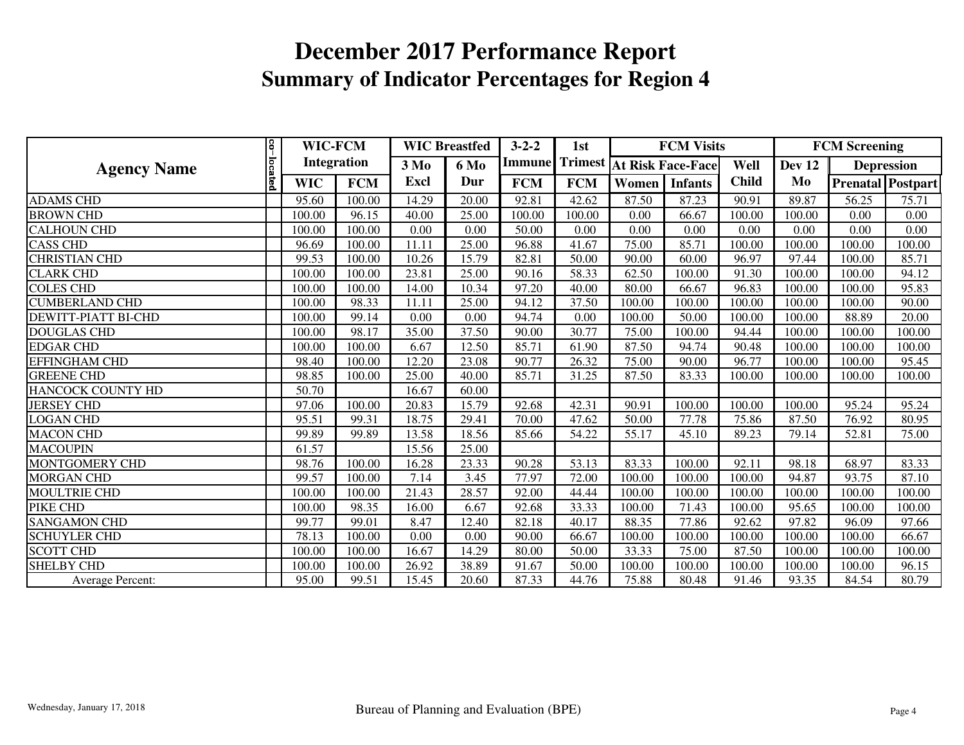| <b>Agency Name</b>         |            | WIC-FCM<br>Integration |            | <b>WIC Breastfed</b>            |       | $3 - 2 - 2$ | 1st<br>Immune Trimest At Risk Face-Face |        | <b>FCM Visits</b> |              | <b>FCM Screening</b> |        |                          |
|----------------------------|------------|------------------------|------------|---------------------------------|-------|-------------|-----------------------------------------|--------|-------------------|--------------|----------------------|--------|--------------------------|
|                            |            |                        |            | 3 M <sub>0</sub><br><b>6 Mo</b> |       |             |                                         |        |                   | Well         | Dev <sub>12</sub>    |        | <b>Depression</b>        |
|                            | co-located | <b>WIC</b>             | <b>FCM</b> | <b>Excl</b>                     | Dur   | <b>FCM</b>  | <b>FCM</b>                              | Women  | <b>Infants</b>    | <b>Child</b> | Mo                   |        | <b>Prenatal Postpart</b> |
| <b>ADAMS CHD</b>           |            | 95.60                  | 100.00     | 14.29                           | 20.00 | 92.81       | 42.62                                   | 87.50  | 87.23             | 90.91        | 89.87                | 56.25  | 75.71                    |
| <b>BROWN CHD</b>           |            | 100.00                 | 96.15      | 40.00                           | 25.00 | 100.00      | 100.00                                  | 0.00   | 66.67             | 100.00       | 100.00               | 0.00   | 0.00                     |
| <b>CALHOUN CHD</b>         |            | 100.00                 | 100.00     | 0.00                            | 0.00  | 50.00       | 0.00                                    | 0.00   | 0.00              | 0.00         | 0.00                 | 0.00   | 0.00                     |
| <b>CASS CHD</b>            |            | 96.69                  | 100.00     | 11.11                           | 25.00 | 96.88       | 41.67                                   | 75.00  | 85.71             | 100.00       | 100.00               | 100.00 | 100.00                   |
| <b>CHRISTIAN CHD</b>       |            | 99.53                  | 100.00     | 10.26                           | 15.79 | 82.81       | 50.00                                   | 90.00  | 60.00             | 96.97        | 97.44                | 100.00 | 85.71                    |
| <b>CLARK CHD</b>           |            | 100.00                 | 100.00     | 23.81                           | 25.00 | 90.16       | 58.33                                   | 62.50  | 100.00            | 91.30        | 100.00               | 100.00 | 94.12                    |
| <b>COLES CHD</b>           |            | 100.00                 | 100.00     | 14.00                           | 10.34 | 97.20       | 40.00                                   | 80.00  | 66.67             | 96.83        | 100.00               | 100.00 | 95.83                    |
| <b>CUMBERLAND CHD</b>      |            | 100.00                 | 98.33      | 11.11                           | 25.00 | 94.12       | 37.50                                   | 100.00 | 100.00            | 100.00       | 100.00               | 100.00 | 90.00                    |
| <b>DEWITT-PIATT BI-CHD</b> |            | 100.00                 | 99.14      | 0.00                            | 0.00  | 94.74       | 0.00                                    | 100.00 | 50.00             | 100.00       | 100.00               | 88.89  | 20.00                    |
| <b>DOUGLAS CHD</b>         |            | 100.00                 | 98.17      | 35.00                           | 37.50 | 90.00       | 30.77                                   | 75.00  | 100.00            | 94.44        | 100.00               | 100.00 | 100.00                   |
| <b>EDGAR CHD</b>           |            | 100.00                 | 100.00     | 6.67                            | 12.50 | 85.71       | 61.90                                   | 87.50  | 94.74             | 90.48        | 100.00               | 100.00 | 100.00                   |
| <b>EFFINGHAM CHD</b>       |            | 98.40                  | 100.00     | 12.20                           | 23.08 | 90.77       | 26.32                                   | 75.00  | 90.00             | 96.77        | 100.00               | 100.00 | 95.45                    |
| <b>GREENE CHD</b>          |            | 98.85                  | 100.00     | 25.00                           | 40.00 | 85.71       | 31.25                                   | 87.50  | 83.33             | 100.00       | 100.00               | 100.00 | 100.00                   |
| HANCOCK COUNTY HD          |            | 50.70                  |            | 16.67                           | 60.00 |             |                                         |        |                   |              |                      |        |                          |
| <b>JERSEY CHD</b>          |            | 97.06                  | 100.00     | 20.83                           | 15.79 | 92.68       | 42.31                                   | 90.91  | 100.00            | 100.00       | 100.00               | 95.24  | 95.24                    |
| <b>LOGAN CHD</b>           |            | 95.51                  | 99.31      | 18.75                           | 29.41 | 70.00       | 47.62                                   | 50.00  | 77.78             | 75.86        | 87.50                | 76.92  | 80.95                    |
| <b>MACON CHD</b>           |            | 99.89                  | 99.89      | 13.58                           | 18.56 | 85.66       | 54.22                                   | 55.17  | 45.10             | 89.23        | 79.14                | 52.81  | 75.00                    |
| <b>MACOUPIN</b>            |            | 61.57                  |            | 15.56                           | 25.00 |             |                                         |        |                   |              |                      |        |                          |
| MONTGOMERY CHD             |            | 98.76                  | 100.00     | 16.28                           | 23.33 | 90.28       | 53.13                                   | 83.33  | 100.00            | 92.11        | 98.18                | 68.97  | 83.33                    |
| <b>MORGAN CHD</b>          |            | 99.57                  | 100.00     | 7.14                            | 3.45  | 77.97       | 72.00                                   | 100.00 | 100.00            | 100.00       | 94.87                | 93.75  | 87.10                    |
| <b>MOULTRIE CHD</b>        |            | 100.00                 | 100.00     | 21.43                           | 28.57 | 92.00       | 44.44                                   | 100.00 | 100.00            | 100.00       | 100.00               | 100.00 | 100.00                   |
| PIKE CHD                   |            | 100.00                 | 98.35      | 16.00                           | 6.67  | 92.68       | 33.33                                   | 100.00 | 71.43             | 100.00       | 95.65                | 100.00 | 100.00                   |
| <b>SANGAMON CHD</b>        |            | 99.77                  | 99.01      | 8.47                            | 12.40 | 82.18       | 40.17                                   | 88.35  | 77.86             | 92.62        | 97.82                | 96.09  | 97.66                    |
| <b>SCHUYLER CHD</b>        |            | 78.13                  | 100.00     | 0.00                            | 0.00  | 90.00       | 66.67                                   | 100.00 | 100.00            | 100.00       | 100.00               | 100.00 | 66.67                    |
| <b>SCOTT CHD</b>           |            | 100.00                 | 100.00     | 16.67                           | 14.29 | 80.00       | 50.00                                   | 33.33  | 75.00             | 87.50        | 100.00               | 100.00 | 100.00                   |
| <b>SHELBY CHD</b>          |            | 100.00                 | 100.00     | 26.92                           | 38.89 | 91.67       | 50.00                                   | 100.00 | 100.00            | 100.00       | 100.00               | 100.00 | 96.15                    |
| <b>Average Percent:</b>    |            | 95.00                  | 99.51      | 15.45                           | 20.60 | 87.33       | 44.76                                   | 75.88  | 80.48             | 91.46        | 93.35                | 84.54  | 80.79                    |